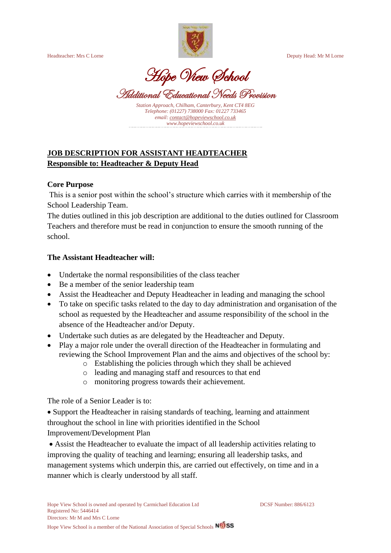

Headteacher: Mrs C Lorne Deputy Head: Mr M Lorne

Hope View School

Additional Educational Needs Provision

*Station Approach, Chilham, Canterbury, Kent CT4 8EG Telephone: (01227) 738000 Fax: 01227 733465 email[: contact@hopeviewschool.co.uk](mailto:contact@hopeviewschool.co.uk) www.hopeviewschool.co.uk*

# **JOB DESCRIPTION FOR ASSISTANT HEADTEACHER Responsible to: Headteacher & Deputy Head**

## **Core Purpose**

This is a senior post within the school's structure which carries with it membership of the School Leadership Team.

The duties outlined in this job description are additional to the duties outlined for Classroom Teachers and therefore must be read in conjunction to ensure the smooth running of the school.

## **The Assistant Headteacher will:**

- Undertake the normal responsibilities of the class teacher
- Be a member of the senior leadership team
- Assist the Headteacher and Deputy Headteacher in leading and managing the school
- To take on specific tasks related to the day to day administration and organisation of the school as requested by the Headteacher and assume responsibility of the school in the absence of the Headteacher and/or Deputy.
- Undertake such duties as are delegated by the Headteacher and Deputy.
- Play a major role under the overall direction of the Headteacher in formulating and reviewing the School Improvement Plan and the aims and objectives of the school by:
	- o Establishing the policies through which they shall be achieved
	- o leading and managing staff and resources to that end
	- o monitoring progress towards their achievement.

The role of a Senior Leader is to:

• Support the Headteacher in raising standards of teaching, learning and attainment throughout the school in line with priorities identified in the School Improvement/Development Plan

• Assist the Headteacher to evaluate the impact of all leadership activities relating to improving the quality of teaching and learning; ensuring all leadership tasks, and management systems which underpin this, are carried out effectively, on time and in a manner which is clearly understood by all staff.

Hope View School is a member of the National Association of Special Schools **NOSS**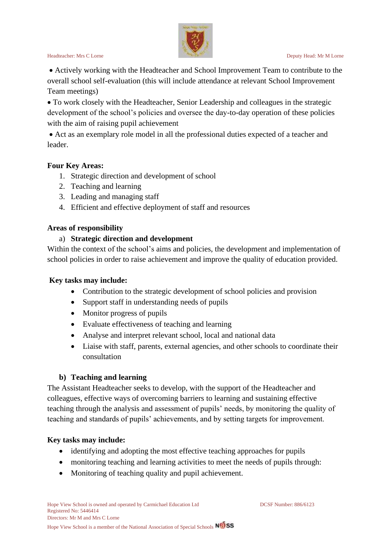

• Actively working with the Headteacher and School Improvement Team to contribute to the overall school self-evaluation (this will include attendance at relevant School Improvement Team meetings)

• To work closely with the Headteacher, Senior Leadership and colleagues in the strategic development of the school's policies and oversee the day-to-day operation of these policies with the aim of raising pupil achievement

• Act as an exemplary role model in all the professional duties expected of a teacher and leader.

#### **Four Key Areas:**

- 1. Strategic direction and development of school
- 2. Teaching and learning
- 3. Leading and managing staff
- 4. Efficient and effective deployment of staff and resources

## **Areas of responsibility**

#### a) **Strategic direction and development**

Within the context of the school's aims and policies, the development and implementation of school policies in order to raise achievement and improve the quality of education provided.

#### **Key tasks may include:**

- Contribution to the strategic development of school policies and provision
- Support staff in understanding needs of pupils
- Monitor progress of pupils
- Evaluate effectiveness of teaching and learning
- Analyse and interpret relevant school, local and national data
- Liaise with staff, parents, external agencies, and other schools to coordinate their consultation

#### **b) Teaching and learning**

The Assistant Headteacher seeks to develop, with the support of the Headteacher and colleagues, effective ways of overcoming barriers to learning and sustaining effective teaching through the analysis and assessment of pupils' needs, by monitoring the quality of teaching and standards of pupils' achievements, and by setting targets for improvement.

#### **Key tasks may include:**

- identifying and adopting the most effective teaching approaches for pupils
- monitoring teaching and learning activities to meet the needs of pupils through:
- Monitoring of teaching quality and pupil achievement.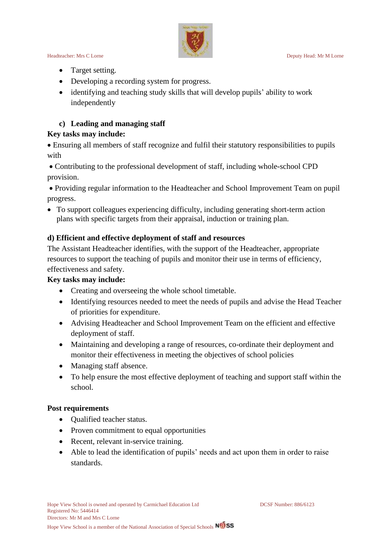

#### Headteacher: Mrs C Lorne Deputy Head: Mr M Lorne

- Target setting.
- Developing a recording system for progress.
- identifying and teaching study skills that will develop pupils' ability to work independently

# **c) Leading and managing staff**

# **Key tasks may include:**

• Ensuring all members of staff recognize and fulfil their statutory responsibilities to pupils with

• Contributing to the professional development of staff, including whole-school CPD provision.

• Providing regular information to the Headteacher and School Improvement Team on pupil progress.

• To support colleagues experiencing difficulty, including generating short-term action plans with specific targets from their appraisal, induction or training plan.

# **d) Efficient and effective deployment of staff and resources**

The Assistant Headteacher identifies, with the support of the Headteacher, appropriate resources to support the teaching of pupils and monitor their use in terms of efficiency, effectiveness and safety.

# **Key tasks may include:**

- Creating and overseeing the whole school timetable.
- Identifying resources needed to meet the needs of pupils and advise the Head Teacher of priorities for expenditure.
- Advising Headteacher and School Improvement Team on the efficient and effective deployment of staff.
- Maintaining and developing a range of resources, co-ordinate their deployment and monitor their effectiveness in meeting the objectives of school policies
- Managing staff absence.
- To help ensure the most effective deployment of teaching and support staff within the school.

# **Post requirements**

- Qualified teacher status.
- Proven commitment to equal opportunities
- Recent, relevant in-service training.
- Able to lead the identification of pupils' needs and act upon them in order to raise standards.